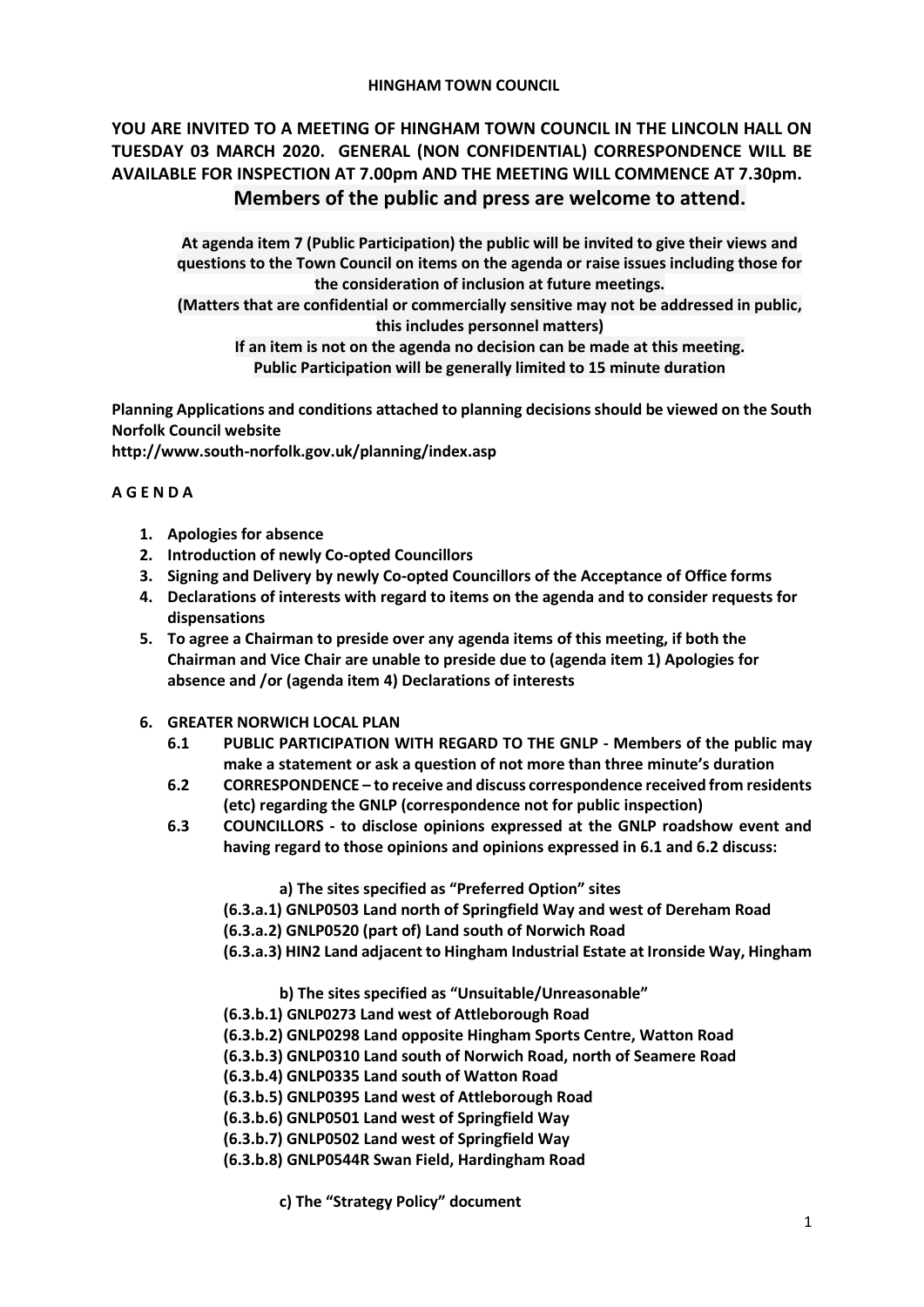#### **HINGHAM TOWN COUNCIL**

# **YOU ARE INVITED TO A MEETING OF HINGHAM TOWN COUNCIL IN THE LINCOLN HALL ON TUESDAY 03 MARCH 2020. GENERAL (NON CONFIDENTIAL) CORRESPONDENCE WILL BE AVAILABLE FOR INSPECTION AT 7.00pm AND THE MEETING WILL COMMENCE AT 7.30pm. Members of the public and press are welcome to attend.**

**At agenda item 7 (Public Participation) the public will be invited to give their views and questions to the Town Council on items on the agenda or raise issues including those for the consideration of inclusion at future meetings.**

**(Matters that are confidential or commercially sensitive may not be addressed in public, this includes personnel matters)**

**If an item is not on the agenda no decision can be made at this meeting. Public Participation will be generally limited to 15 minute duration**

**Planning Applications and conditions attached to planning decisions should be viewed on the South Norfolk Council website** 

**<http://www.south-norfolk.gov.uk/planning/index.asp>**

## **A G E N D A**

- **1. Apologies for absence**
- **2. Introduction of newly Co-opted Councillors**
- **3. Signing and Delivery by newly Co-opted Councillors of the Acceptance of Office forms**
- **4. Declarations of interests with regard to items on the agenda and to consider requests for dispensations**
- **5. To agree a Chairman to preside over any agenda items of this meeting, if both the Chairman and Vice Chair are unable to preside due to (agenda item 1) Apologies for absence and /or (agenda item 4) Declarations of interests**
- **6. GREATER NORWICH LOCAL PLAN** 
	- **6.1 PUBLIC PARTICIPATION WITH REGARD TO THE GNLP - Members of the public may make a statement or ask a question of not more than three minute's duration**
	- **6.2 CORRESPONDENCE – to receive and discuss correspondence received from residents (etc) regarding the GNLP (correspondence not for public inspection)**
	- **6.3 COUNCILLORS - to disclose opinions expressed at the GNLP roadshow event and having regard to those opinions and opinions expressed in 6.1 and 6.2 discuss:**

**a) The sites specified as "Preferred Option" sites**

**(6.3.a.1) GNLP0503 Land north of Springfield Way and west of Dereham Road**

**(6.3.a.2) GNLP0520 (part of) Land south of Norwich Road**

**(6.3.a.3) HIN2 Land adjacent to Hingham Industrial Estate at Ironside Way, Hingham**

**b) The sites specified as "Unsuitable/Unreasonable"**

**(6.3.b.1) GNLP0273 Land west of Attleborough Road** 

**(6.3.b.2) GNLP0298 Land opposite Hingham Sports Centre, Watton Road** 

**(6.3.b.3) GNLP0310 Land south of Norwich Road, north of Seamere Road** 

**(6.3.b.4) GNLP0335 Land south of Watton Road** 

**(6.3.b.5) GNLP0395 Land west of Attleborough Road** 

**(6.3.b.6) GNLP0501 Land west of Springfield Way** 

**(6.3.b.7) GNLP0502 Land west of Springfield Way** 

**(6.3.b.8) GNLP0544R Swan Field, Hardingham Road** 

**c) The "Strategy Policy" document**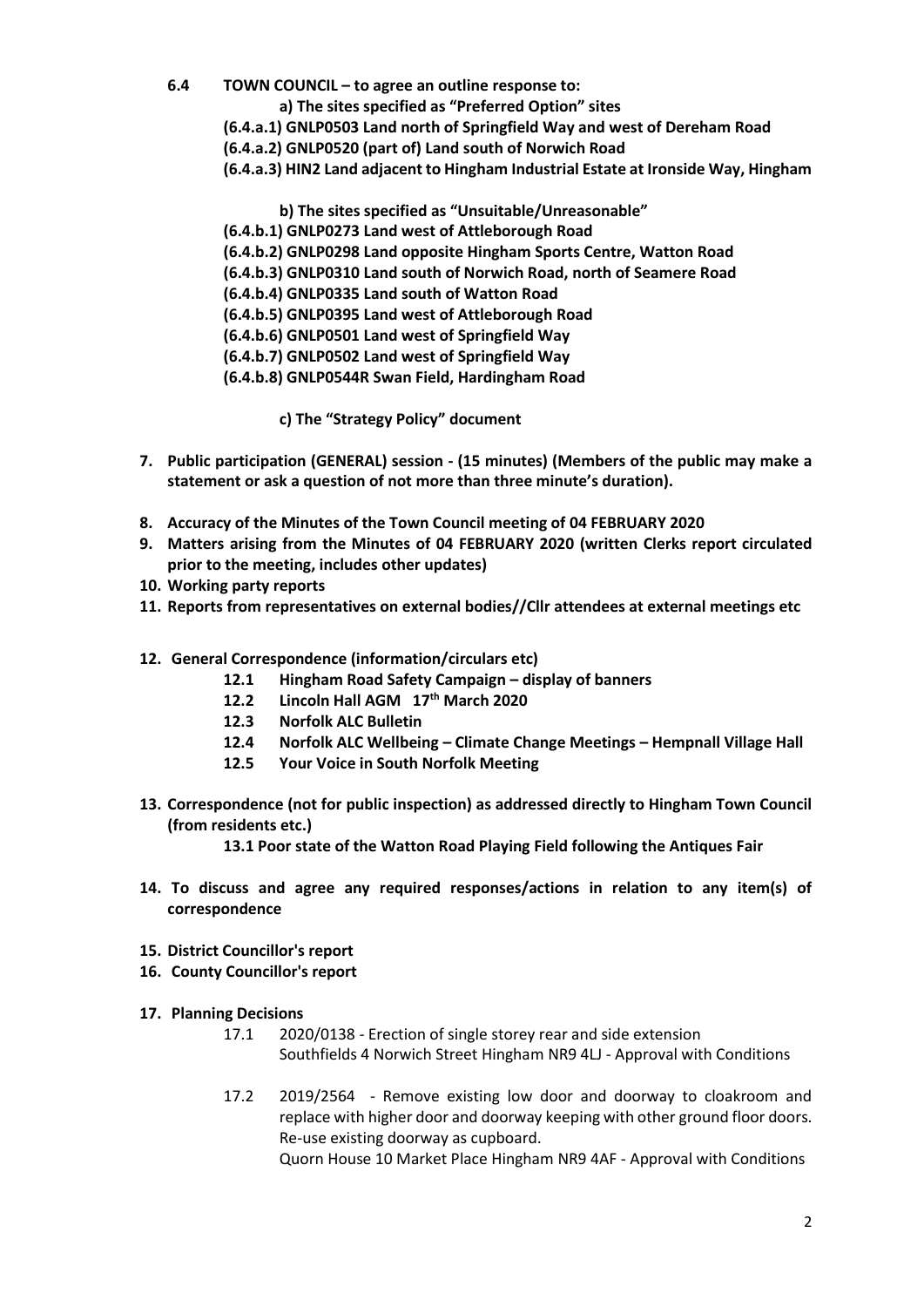**6.4 TOWN COUNCIL – to agree an outline response to:** 

**a) The sites specified as "Preferred Option" sites**

- **(6.4.a.1) GNLP0503 Land north of Springfield Way and west of Dereham Road**
- **(6.4.a.2) GNLP0520 (part of) Land south of Norwich Road**
- **(6.4.a.3) HIN2 Land adjacent to Hingham Industrial Estate at Ironside Way, Hingham**

**b) The sites specified as "Unsuitable/Unreasonable"**

- **(6.4.b.1) GNLP0273 Land west of Attleborough Road**
- **(6.4.b.2) GNLP0298 Land opposite Hingham Sports Centre, Watton Road**
- **(6.4.b.3) GNLP0310 Land south of Norwich Road, north of Seamere Road**
- **(6.4.b.4) GNLP0335 Land south of Watton Road**
- **(6.4.b.5) GNLP0395 Land west of Attleborough Road**
- **(6.4.b.6) GNLP0501 Land west of Springfield Way**
- **(6.4.b.7) GNLP0502 Land west of Springfield Way**
- **(6.4.b.8) GNLP0544R Swan Field, Hardingham Road**

**c) The "Strategy Policy" document**

- **7. Public participation (GENERAL) session - (15 minutes) (Members of the public may make a statement or ask a question of not more than three minute's duration).**
- **8. Accuracy of the Minutes of the Town Council meeting of 04 FEBRUARY 2020**
- **9. Matters arising from the Minutes of 04 FEBRUARY 2020 (written Clerks report circulated prior to the meeting, includes other updates)**
- **10. Working party reports**
- **11. Reports from representatives on external bodies//Cllr attendees at external meetings etc**
- **12. General Correspondence (information/circulars etc)**
	- **12.1 Hingham Road Safety Campaign – display of banners**
	- **12.2 Lincoln Hall AGM 17th March 2020**
	- **12.3 Norfolk ALC Bulletin**
	- **12.4 Norfolk ALC Wellbeing – Climate Change Meetings – Hempnall Village Hall**
	- **12.5 Your Voice in South Norfolk Meeting**
- **13. Correspondence (not for public inspection) as addressed directly to Hingham Town Council (from residents etc.)**

**13.1 Poor state of the Watton Road Playing Field following the Antiques Fair**

- **14. To discuss and agree any required responses/actions in relation to any item(s) of correspondence**
- **15. District Councillor's report**
- **16. County Councillor's report**
- **17. Planning Decisions**
	- 17.1 2020/0138 Erection of single storey rear and side extension Southfields 4 Norwich Street Hingham NR9 4LJ - Approval with Conditions
	- 17.2 2019/2564 Remove existing low door and doorway to cloakroom and replace with higher door and doorway keeping with other ground floor doors. Re-use existing doorway as cupboard.

Quorn House 10 Market Place Hingham NR9 4AF - Approval with Conditions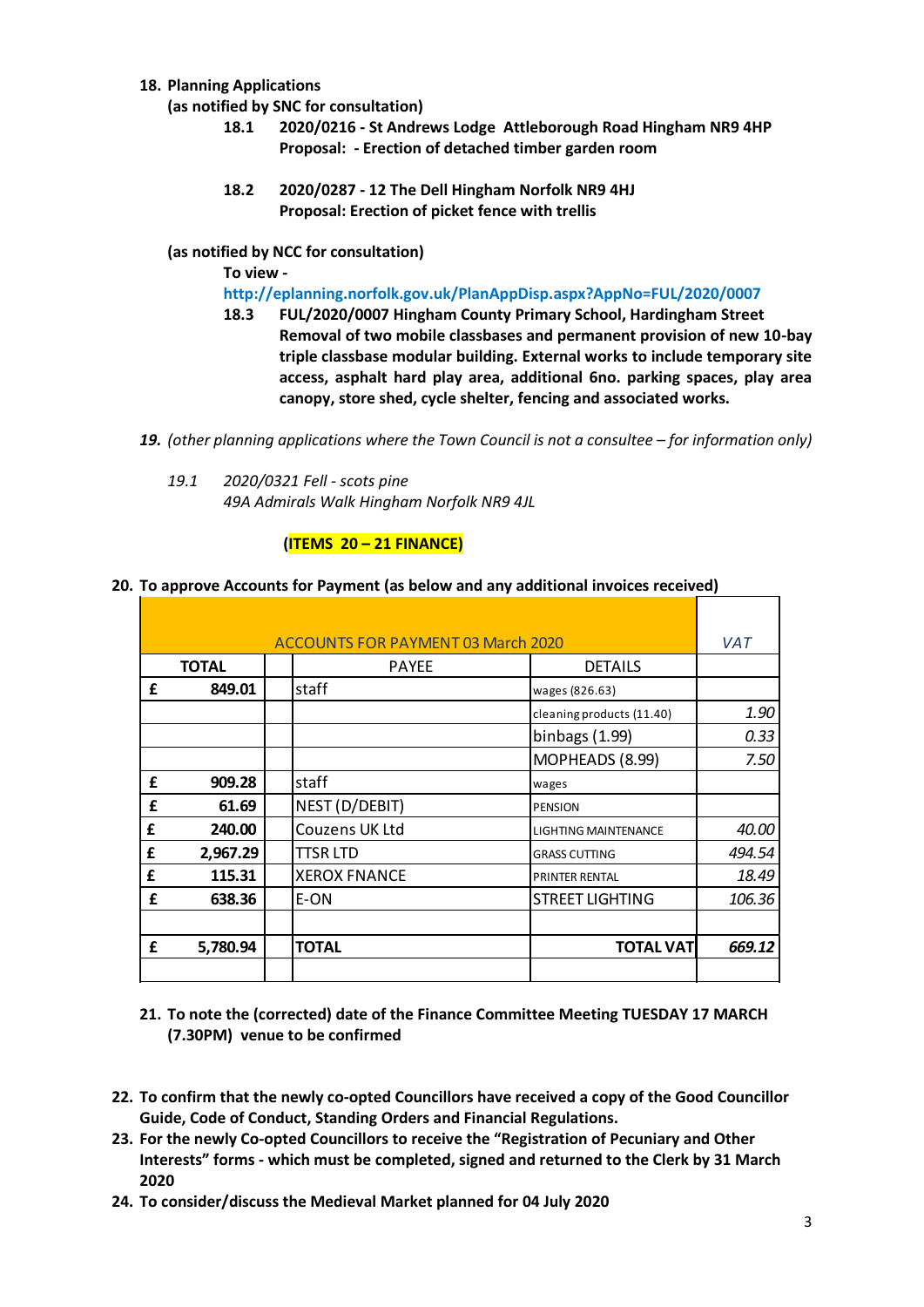- **18. Planning Applications** 
	- **(as notified by SNC for consultation)**
		- **18.1 2020/0216 - St Andrews Lodge Attleborough Road Hingham NR9 4HP Proposal: - Erection of detached timber garden room**
		- **18.2 2020/0287 - 12 The Dell Hingham Norfolk NR9 4HJ Proposal: Erection of picket fence with trellis**
	- **(as notified by NCC for consultation)**

#### **To view -**

**<http://eplanning.norfolk.gov.uk/PlanAppDisp.aspx?AppNo=FUL/2020/0007>**

- **18.3 FUL/2020/0007 Hingham County Primary School, Hardingham Street Removal of two mobile classbases and permanent provision of new 10-bay triple classbase modular building. External works to include temporary site access, asphalt hard play area, additional 6no. parking spaces, play area canopy, store shed, cycle shelter, fencing and associated works.**
- 19. *(other planning applications where the Town Council is not a consultee for information only)* 
	- *19.1 2020/0321 Fell - scots pine 49A Admirals Walk Hingham Norfolk NR9 4JL*

## **(ITEMS 20 – 21 FINANCE)**

# **20. To approve Accounts for Payment (as below and any additional invoices received)**

|      |              | <b>ACCOUNTS FOR PAYMENT 03 March 2020</b>                            |                                                                                                                                                                                                                                                                                         | <b>VAT</b> |
|------|--------------|----------------------------------------------------------------------|-----------------------------------------------------------------------------------------------------------------------------------------------------------------------------------------------------------------------------------------------------------------------------------------|------------|
|      | <b>TOTAL</b> | <b>PAYEE</b>                                                         | <b>DETAILS</b>                                                                                                                                                                                                                                                                          |            |
| £    | 849.01       | staff                                                                | wages (826.63)                                                                                                                                                                                                                                                                          |            |
|      |              |                                                                      | cleaning products (11.40)                                                                                                                                                                                                                                                               | 1.90       |
|      |              |                                                                      | binbags $(1.99)$                                                                                                                                                                                                                                                                        | 0.33       |
|      |              |                                                                      | MOPHEADS (8.99)                                                                                                                                                                                                                                                                         | 7.50       |
| £    | 909.28       | staff                                                                | wages                                                                                                                                                                                                                                                                                   |            |
| £    | 61.69        | NEST (D/DEBIT)                                                       | PENSION                                                                                                                                                                                                                                                                                 |            |
| £    | 240.00       | Couzens UK Ltd                                                       | <b>LIGHTING MAINTENANCE</b>                                                                                                                                                                                                                                                             | 40.00      |
| £    | 2,967.29     | <b>TTSR LTD</b>                                                      | <b>GRASS CUTTING</b>                                                                                                                                                                                                                                                                    | 494.54     |
| £    | 115.31       | <b>XEROX FNANCE</b>                                                  | <b>PRINTER RENTAL</b>                                                                                                                                                                                                                                                                   | 18.49      |
| £    | 638.36       | E-ON                                                                 | <b>STREET LIGHTING</b>                                                                                                                                                                                                                                                                  | 106.36     |
| £    | 5,780.94     | <b>TOTAL</b>                                                         | <b>TOTAL VAT</b>                                                                                                                                                                                                                                                                        | 669.12     |
|      |              |                                                                      |                                                                                                                                                                                                                                                                                         |            |
|      |              | (7.30PM) venue to be confirmed                                       | 21. To note the (corrected) date of the Finance Committee Meeting TUESDAY 17 MARCH                                                                                                                                                                                                      |            |
| 2020 |              | Guide, Code of Conduct, Standing Orders and Financial Regulations.   | 22. To confirm that the newly co-opted Councillors have received a copy of the Good Councillo<br>23. For the newly Co-opted Councillors to receive the "Registration of Pecuniary and Other<br>Interests" forms - which must be completed, signed and returned to the Clerk by 31 March |            |
|      |              | 24. To consider/discuss the Medieval Market planned for 04 July 2020 |                                                                                                                                                                                                                                                                                         |            |

- **22. To confirm that the newly co-opted Councillors have received a copy of the Good Councillor Guide, Code of Conduct, Standing Orders and Financial Regulations.**
- **23. For the newly Co-opted Councillors to receive the "Registration of Pecuniary and Other Interests" forms - which must be completed, signed and returned to the Clerk by 31 March 2020**
-